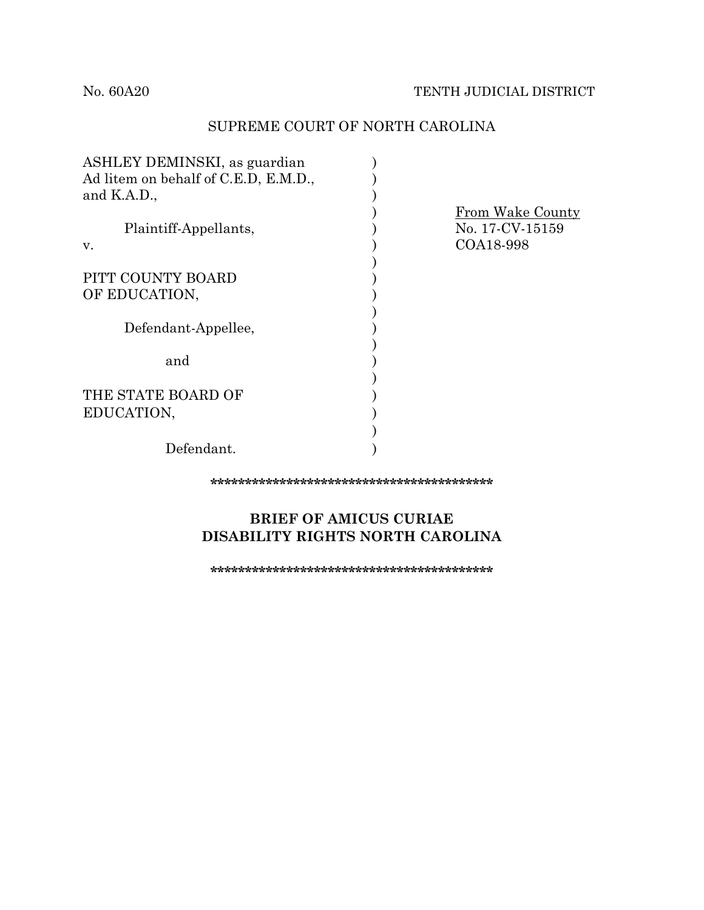## SUPREME COURT OF NORTH CAROLINA

| ASHLEY DEMINSKI, as guardian         |                                                  |
|--------------------------------------|--------------------------------------------------|
| Ad litem on behalf of C.E.D, E.M.D., |                                                  |
| and $K.A.D.,$                        |                                                  |
| Plaintiff-Appellants,<br>v.          | From Wake County<br>No. 17-CV-15159<br>COA18-998 |
|                                      |                                                  |
| PITT COUNTY BOARD                    |                                                  |
| OF EDUCATION,                        |                                                  |
|                                      |                                                  |
| Defendant-Appellee,                  |                                                  |
|                                      |                                                  |
| and                                  |                                                  |
|                                      |                                                  |
| THE STATE BOARD OF                   |                                                  |
| EDUCATION,                           |                                                  |
|                                      |                                                  |
| Defendant.                           |                                                  |

**\*\*\*\*\*\*\*\*\*\*\*\*\*\*\*\*\*\*\*\*\*\*\*\*\*\*\*\*\*\*\*\*\*\*\*\*\*\*\*\*\***

# **BRIEF OF AMICUS CURIAE DISABILITY RIGHTS NORTH CAROLINA**

**\*\*\*\*\*\*\*\*\*\*\*\*\*\*\*\*\*\*\*\*\*\*\*\*\*\*\*\*\*\*\*\*\*\*\*\*\*\*\*\*\***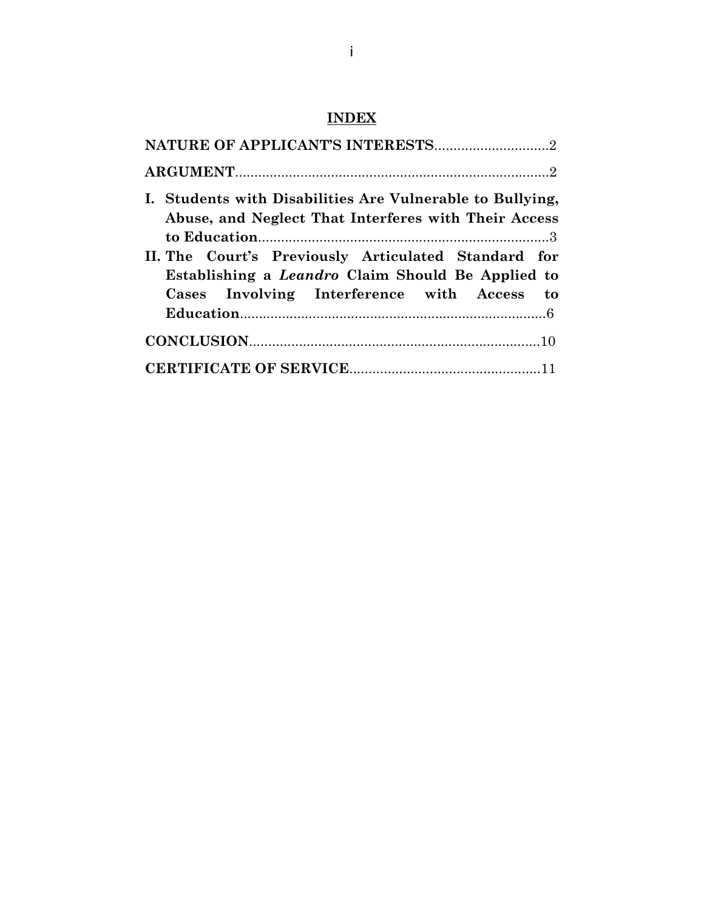# **INDEX**

| I. Students with Disabilities Are Vulnerable to Bullying,<br>Abuse, and Neglect That Interferes with Their Access                                              |
|----------------------------------------------------------------------------------------------------------------------------------------------------------------|
| II. The Court's Previously Articulated Standard for<br>Establishing a <i>Leandro</i> Claim Should Be Applied to<br>Cases Involving Interference with Access to |
|                                                                                                                                                                |
|                                                                                                                                                                |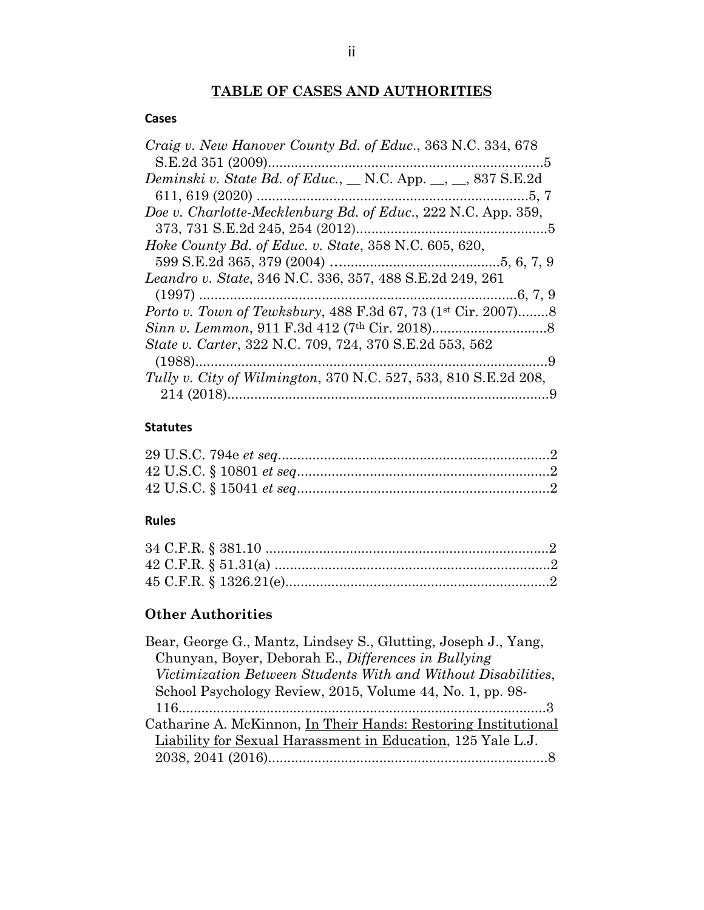# **TABLE OF CASES AND AUTHORITIES**

### **Cases**

| Craig v. New Hanover County Bd. of Educ., 363 N.C. 334, 678             |  |
|-------------------------------------------------------------------------|--|
|                                                                         |  |
| <i>Deminski v. State Bd. of Educ.</i> , __ N.C. App. __, __, 837 S.E.2d |  |
|                                                                         |  |
| Doe v. Charlotte-Mecklenburg Bd. of Educ., 222 N.C. App. 359,           |  |
|                                                                         |  |
| Hoke County Bd. of Educ. v. State, 358 N.C. 605, 620,                   |  |
|                                                                         |  |
| Leandro v. State, 346 N.C. 336, 357, 488 S.E.2d 249, 261                |  |
|                                                                         |  |
| <i>Porto v. Town of Tewksbury, 488 F.3d 67, 73 (1st Cir. 2007)8</i>     |  |
|                                                                         |  |
| State v. Carter, 322 N.C. 709, 724, 370 S.E.2d 553, 562                 |  |
|                                                                         |  |
| Tully v. City of Wilmington, 370 N.C. 527, 533, 810 S.E.2d 208,         |  |
|                                                                         |  |
|                                                                         |  |

## **Statutes**

## **Rules**

# **Other Authorities**

| Bear, George G., Mantz, Lindsey S., Glutting, Joseph J., Yang, |
|----------------------------------------------------------------|
| Chunyan, Boyer, Deborah E., Differences in Bullying            |
| Victimization Between Students With and Without Disabilities,  |
| School Psychology Review, 2015, Volume 44, No. 1, pp. 98-      |
|                                                                |
| Catharine A. McKinnon, In Their Hands: Restoring Institutional |
| Liability for Sexual Harassment in Education, 125 Yale L.J.    |
|                                                                |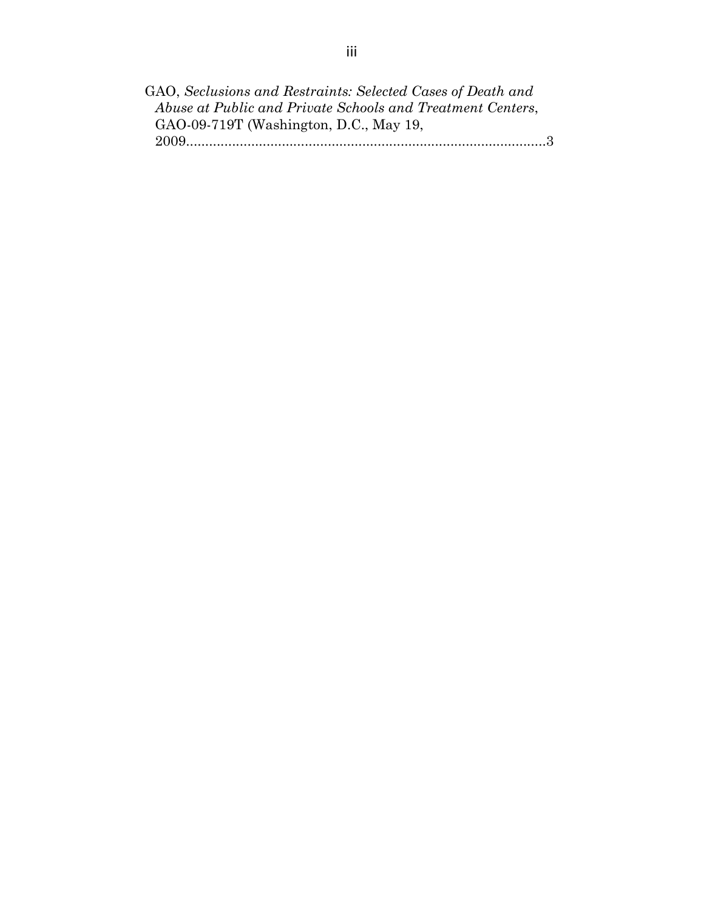| GAO, Seclusions and Restraints: Selected Cases of Death and |  |
|-------------------------------------------------------------|--|
| Abuse at Public and Private Schools and Treatment Centers,  |  |
| GAO-09-719T (Washington, D.C., May 19,                      |  |
|                                                             |  |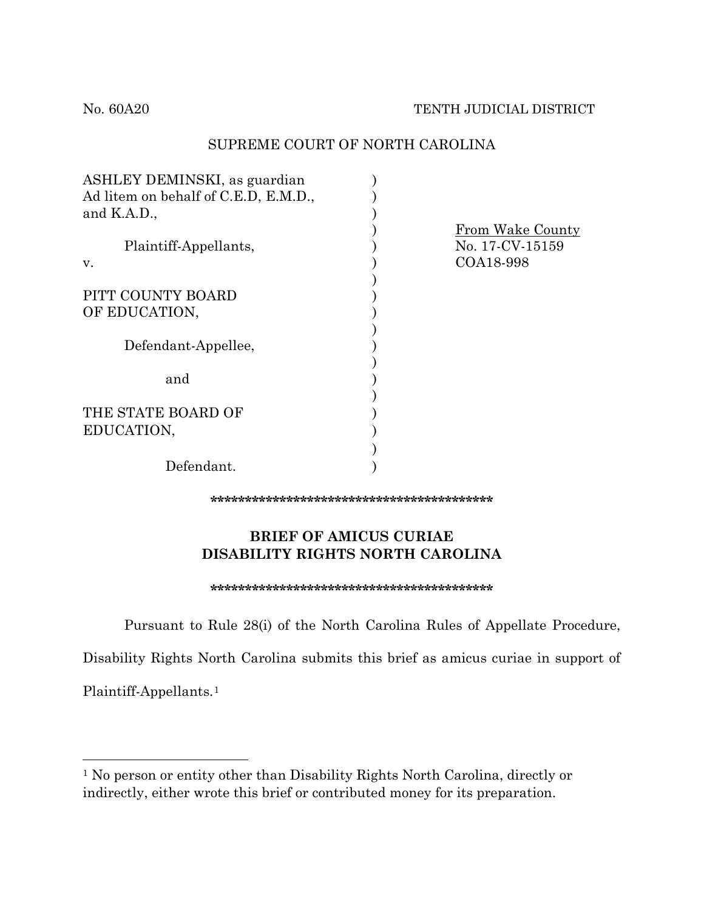### SUPREME COURT OF NORTH CAROLINA

| ASHLEY DEMINSKI, as guardian         |                                                  |
|--------------------------------------|--------------------------------------------------|
| Ad litem on behalf of C.E.D, E.M.D., |                                                  |
| and $K.A.D.,$                        |                                                  |
| Plaintiff-Appellants,<br>V.          | From Wake County<br>No. 17-CV-15159<br>COA18-998 |
| PITT COUNTY BOARD                    |                                                  |
| OF EDUCATION,                        |                                                  |
| Defendant-Appellee,                  |                                                  |
| and                                  |                                                  |
|                                      |                                                  |
| THE STATE BOARD OF                   |                                                  |
| EDUCATION,                           |                                                  |
|                                      |                                                  |
| Defendant.                           |                                                  |

**\*\*\*\*\*\*\*\*\*\*\*\*\*\*\*\*\*\*\*\*\*\*\*\*\*\*\*\*\*\*\*\*\*\*\*\*\*\*\*\*\***

## **BRIEF OF AMICUS CURIAE DISABILITY RIGHTS NORTH CAROLINA**

#### **\*\*\*\*\*\*\*\*\*\*\*\*\*\*\*\*\*\*\*\*\*\*\*\*\*\*\*\*\*\*\*\*\*\*\*\*\*\*\*\*\***

Pursuant to Rule 28(i) of the North Carolina Rules of Appellate Procedure,

Disability Rights North Carolina submits this brief as amicus curiae in support of

Plaintiff-Appellants.[1](#page-4-0)

<span id="page-4-0"></span><sup>1</sup> No person or entity other than Disability Rights North Carolina, directly or indirectly, either wrote this brief or contributed money for its preparation.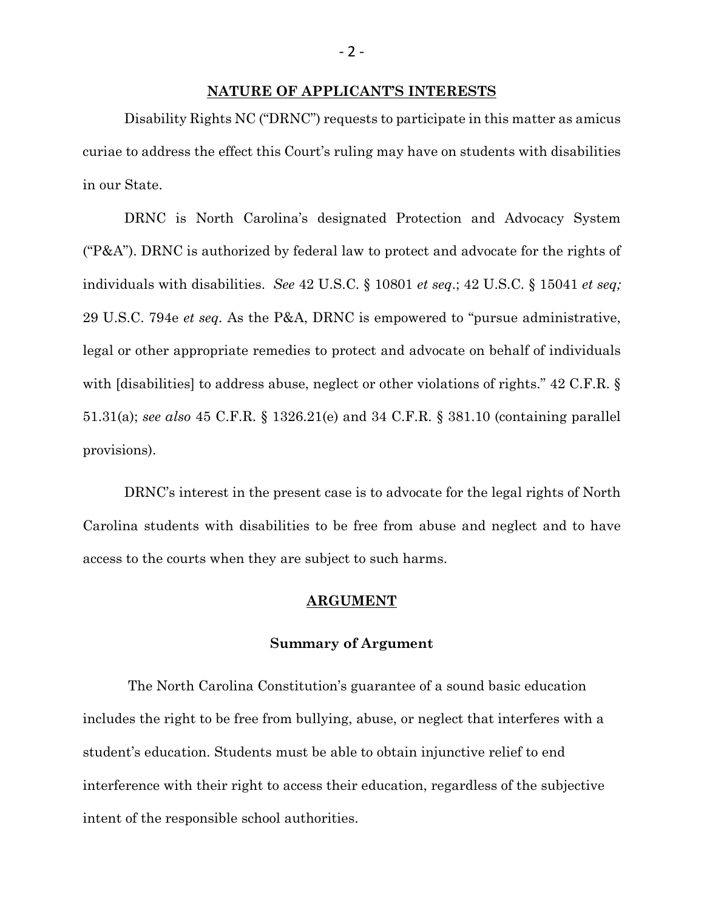#### **NATURE OF APPLICANT'S INTERESTS**

Disability Rights NC ("DRNC") requests to participate in this matter as amicus curiae to address the effect this Court's ruling may have on students with disabilities in our State.

DRNC is North Carolina's designated Protection and Advocacy System ("P&A"). DRNC is authorized by federal law to protect and advocate for the rights of individuals with disabilities. *See* 42 U.S.C. § 10801 *et seq*.; 42 U.S.C. § 15041 *et seq;*  29 U.S.C. 794e *et seq.* As the P&A, DRNC is empowered to "pursue administrative, legal or other appropriate remedies to protect and advocate on behalf of individuals with [disabilities] to address abuse, neglect or other violations of rights." 42 C.F.R. § 51.31(a); *see also* 45 C.F.R. § 1326.21(e) and 34 C.F.R. § 381.10 (containing parallel provisions).

DRNC's interest in the present case is to advocate for the legal rights of North Carolina students with disabilities to be free from abuse and neglect and to have access to the courts when they are subject to such harms.

#### **ARGUMENT**

#### **Summary of Argument**

The North Carolina Constitution's guarantee of a sound basic education includes the right to be free from bullying, abuse, or neglect that interferes with a student's education. Students must be able to obtain injunctive relief to end interference with their right to access their education, regardless of the subjective intent of the responsible school authorities.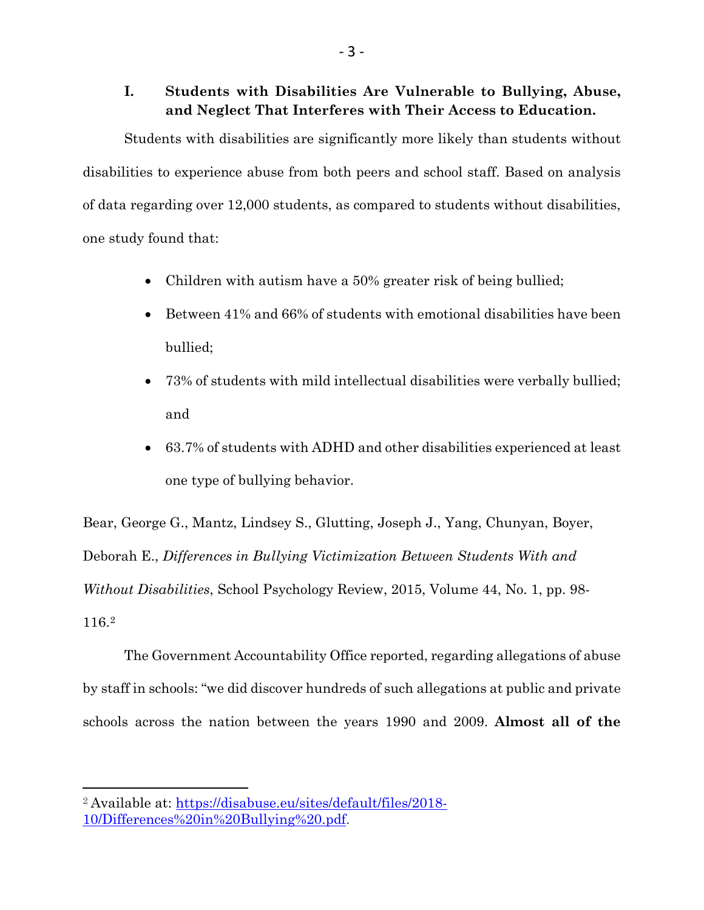# **I. Students with Disabilities Are Vulnerable to Bullying, Abuse, and Neglect That Interferes with Their Access to Education.**

Students with disabilities are significantly more likely than students without disabilities to experience abuse from both peers and school staff. Based on analysis of data regarding over 12,000 students, as compared to students without disabilities, one study found that:

- Children with autism have a 50% greater risk of being bullied;
- Between 41% and 66% of students with emotional disabilities have been bullied;
- 73% of students with mild intellectual disabilities were verbally bullied; and
- 63.7% of students with ADHD and other disabilities experienced at least one type of bullying behavior.

Bear, George G., Mantz, Lindsey S., Glutting, Joseph J., Yang, Chunyan, Boyer, Deborah E., *Differences in Bullying Victimization Between Students With and Without Disabilities*, School Psychology Review, 2015, Volume 44, No. 1, pp. 98- 116.[2](#page-6-0)

The Government Accountability Office reported, regarding allegations of abuse by staff in schools: "we did discover hundreds of such allegations at public and private schools across the nation between the years 1990 and 2009. **Almost all of the** 

<span id="page-6-0"></span><sup>2</sup> Available at: [https://disabuse.eu/sites/default/files/2018-](https://disabuse.eu/sites/default/files/2018-10/Differences%20in%20Bullying%20.pdf) [10/Differences%20in%20Bullying%20.pdf.](https://disabuse.eu/sites/default/files/2018-10/Differences%20in%20Bullying%20.pdf)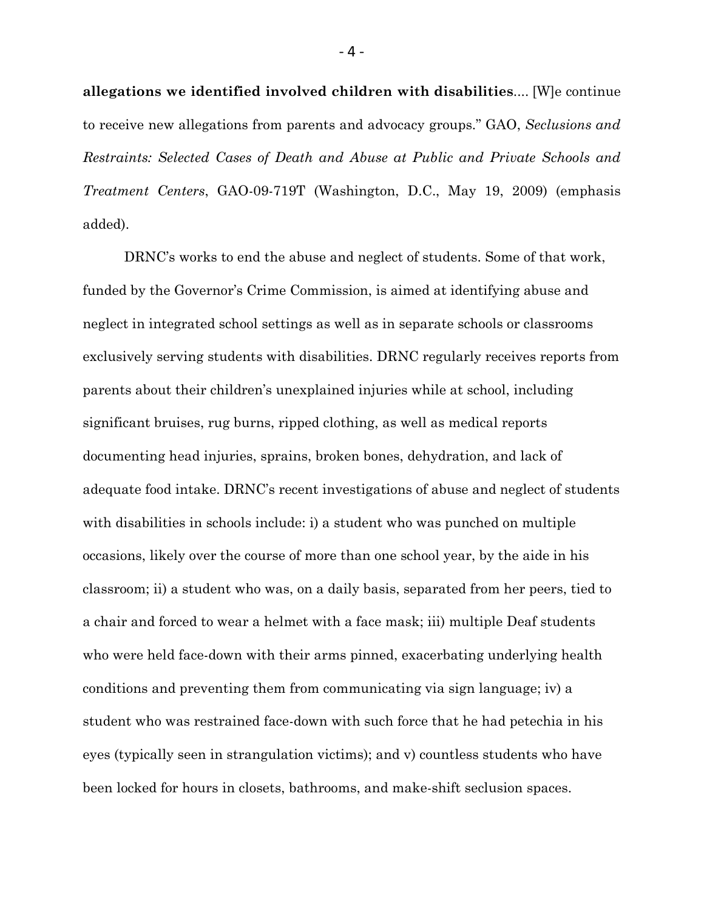**allegations we identified involved children with disabilities**.... [W]e continue to receive new allegations from parents and advocacy groups." GAO, *Seclusions and Restraints: Selected Cases of Death and Abuse at Public and Private Schools and Treatment Centers*, GAO-09-719T (Washington, D.C., May 19, 2009) (emphasis added).

DRNC's works to end the abuse and neglect of students. Some of that work, funded by the Governor's Crime Commission, is aimed at identifying abuse and neglect in integrated school settings as well as in separate schools or classrooms exclusively serving students with disabilities. DRNC regularly receives reports from parents about their children's unexplained injuries while at school, including significant bruises, rug burns, ripped clothing, as well as medical reports documenting head injuries, sprains, broken bones, dehydration, and lack of adequate food intake. DRNC's recent investigations of abuse and neglect of students with disabilities in schools include: i) a student who was punched on multiple occasions, likely over the course of more than one school year, by the aide in his classroom; ii) a student who was, on a daily basis, separated from her peers, tied to a chair and forced to wear a helmet with a face mask; iii) multiple Deaf students who were held face-down with their arms pinned, exacerbating underlying health conditions and preventing them from communicating via sign language; iv) a student who was restrained face-down with such force that he had petechia in his eyes (typically seen in strangulation victims); and v) countless students who have been locked for hours in closets, bathrooms, and make-shift seclusion spaces.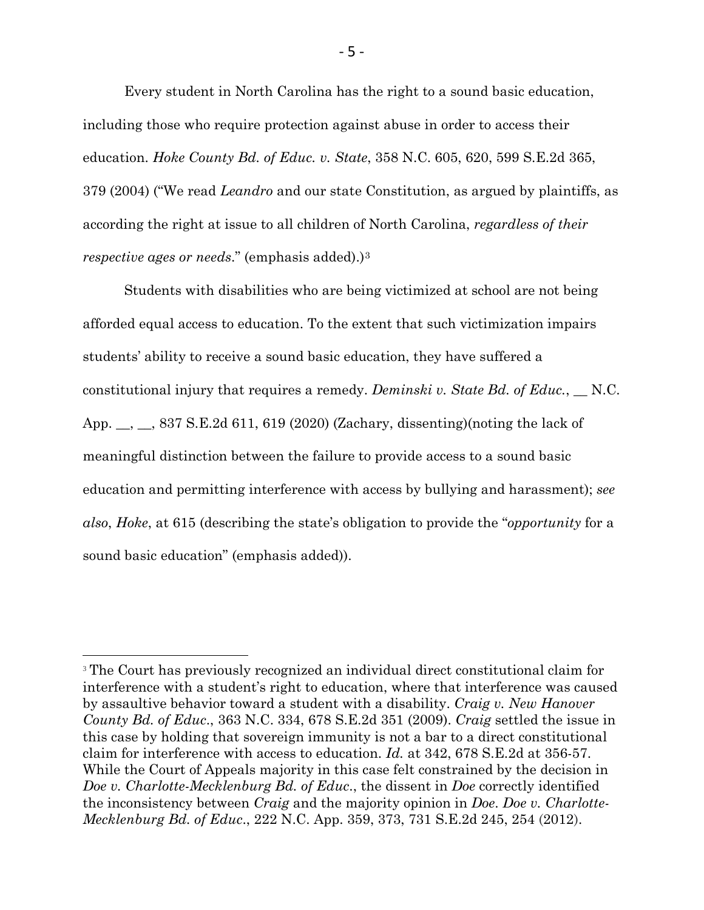Every student in North Carolina has the right to a sound basic education, including those who require protection against abuse in order to access their education. *Hoke County Bd. of Educ. v. State*, 358 N.C. 605, 620, 599 S.E.2d 365, 379 (2004) ("We read *Leandro* and our state Constitution, as argued by plaintiffs, as according the right at issue to all children of North Carolina, *regardless of their respective ages or needs*." (emphasis added).)[3](#page-8-0)

Students with disabilities who are being victimized at school are not being afforded equal access to education. To the extent that such victimization impairs students' ability to receive a sound basic education, they have suffered a constitutional injury that requires a remedy. *Deminski v. State Bd. of Educ.*, \_\_ N.C. App. \_\_, \_\_, 837 S.E.2d 611, 619 (2020) (Zachary, dissenting)(noting the lack of meaningful distinction between the failure to provide access to a sound basic education and permitting interference with access by bullying and harassment); *see also*, *Hoke*, at 615 (describing the state's obligation to provide the "*opportunity* for a sound basic education" (emphasis added)).

<span id="page-8-0"></span><sup>&</sup>lt;sup>3</sup> The Court has previously recognized an individual direct constitutional claim for interference with a student's right to education, where that interference was caused by assaultive behavior toward a student with a disability. *Craig v. New Hanover County Bd. of Educ*., 363 N.C. 334, 678 S.E.2d 351 (2009). *Craig* settled the issue in this case by holding that sovereign immunity is not a bar to a direct constitutional claim for interference with access to education. *Id.* at 342, 678 S.E.2d at 356-57. While the Court of Appeals majority in this case felt constrained by the decision in *Doe v. Charlotte-Mecklenburg Bd. of Educ*., the dissent in *Doe* correctly identified the inconsistency between *Craig* and the majority opinion in *Doe*. *Doe v. Charlotte-Mecklenburg Bd. of Educ*., 222 N.C. App. 359, 373, 731 S.E.2d 245, 254 (2012).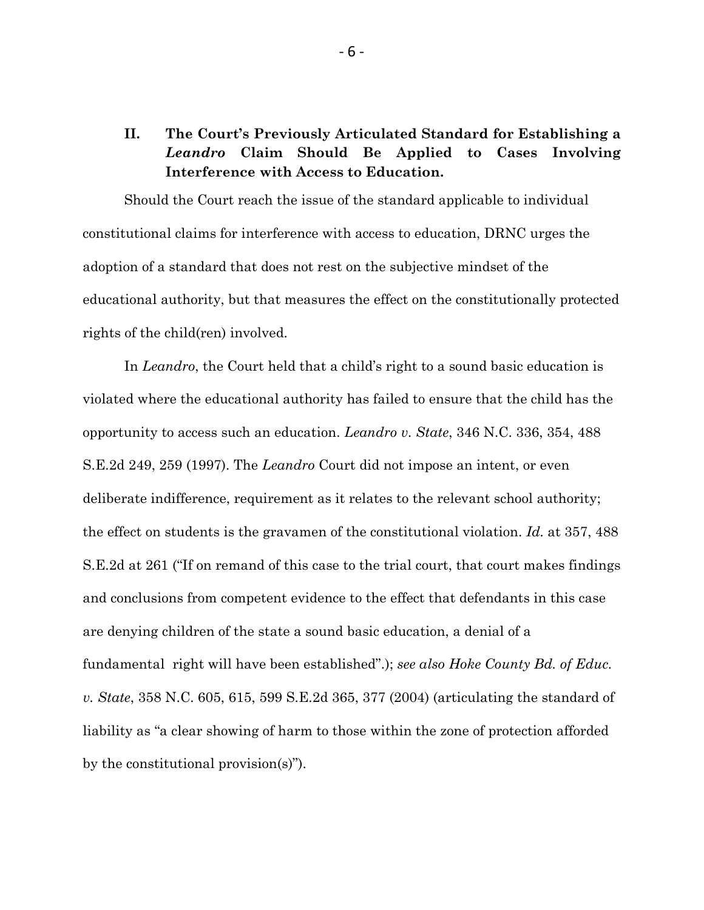# **II. The Court's Previously Articulated Standard for Establishing a**  *Leandro* **Claim Should Be Applied to Cases Involving Interference with Access to Education.**

Should the Court reach the issue of the standard applicable to individual constitutional claims for interference with access to education, DRNC urges the adoption of a standard that does not rest on the subjective mindset of the educational authority, but that measures the effect on the constitutionally protected rights of the child(ren) involved.

In *Leandro*, the Court held that a child's right to a sound basic education is violated where the educational authority has failed to ensure that the child has the opportunity to access such an education. *Leandro v. State*, 346 N.C. 336, 354, 488 S.E.2d 249, 259 (1997). The *Leandro* Court did not impose an intent, or even deliberate indifference, requirement as it relates to the relevant school authority; the effect on students is the gravamen of the constitutional violation. *Id.* at 357, 488 S.E.2d at 261 ("If on remand of this case to the trial court, that court makes findings and conclusions from competent evidence to the effect that defendants in this case are denying children of the state a sound basic education, a denial of a fundamental right will have been established".); *see also Hoke County Bd. of Educ. v. State*, 358 N.C. 605, 615, 599 S.E.2d 365, 377 (2004) (articulating the standard of liability as "a clear showing of harm to those within the zone of protection afforded by the constitutional provision(s)").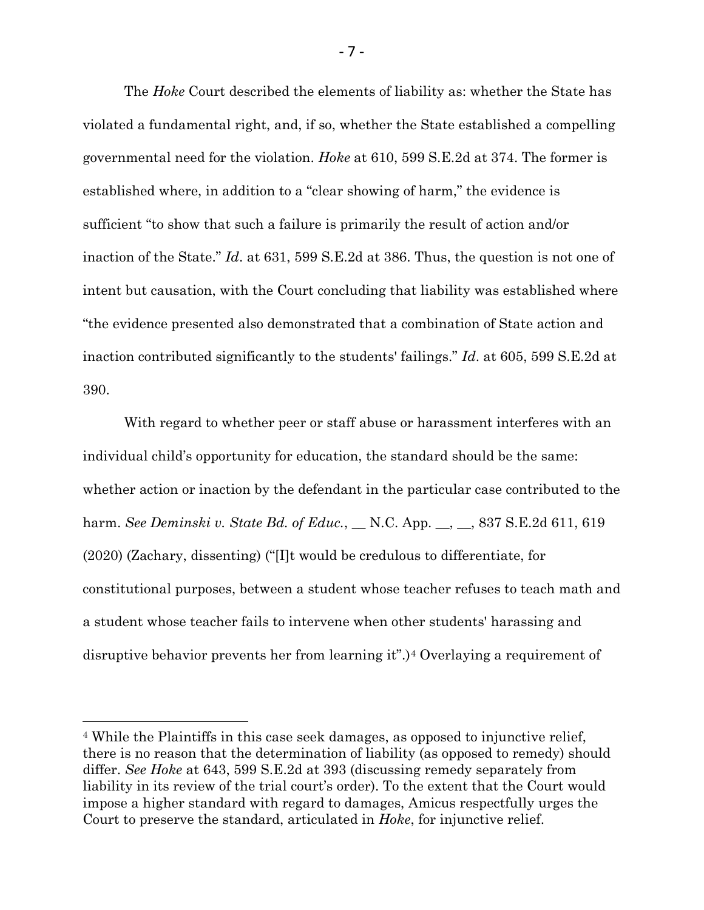The *Hoke* Court described the elements of liability as: whether the State has violated a fundamental right, and, if so, whether the State established a compelling governmental need for the violation. *Hoke* at 610, 599 S.E.2d at 374. The former is established where, in addition to a "clear showing of harm," the evidence is sufficient "to show that such a failure is primarily the result of action and/or inaction of the State." *Id*. at 631, 599 S.E.2d at 386. Thus, the question is not one of intent but causation, with the Court concluding that liability was established where "the evidence presented also demonstrated that a combination of State action and inaction contributed significantly to the students' failings." *Id*. at 605, 599 S.E.2d at 390.

With regard to whether peer or staff abuse or harassment interferes with an individual child's opportunity for education, the standard should be the same: whether action or inaction by the defendant in the particular case contributed to the harm. *See Deminski v. State Bd. of Educ.*, \_\_ N.C. App. \_\_, \_\_, 837 S.E.2d 611, 619 (2020) (Zachary, dissenting) ("[I]t would be credulous to differentiate, for constitutional purposes, between a student whose teacher refuses to teach math and a student whose teacher fails to intervene when other students' harassing and disruptive behavior prevents her from learning it".)[4](#page-10-0) Overlaying a requirement of

l

- 7 -

<span id="page-10-0"></span><sup>4</sup> While the Plaintiffs in this case seek damages, as opposed to injunctive relief, there is no reason that the determination of liability (as opposed to remedy) should differ. *See Hoke* at 643, 599 S.E.2d at 393 (discussing remedy separately from liability in its review of the trial court's order). To the extent that the Court would impose a higher standard with regard to damages, Amicus respectfully urges the Court to preserve the standard, articulated in *Hoke*, for injunctive relief.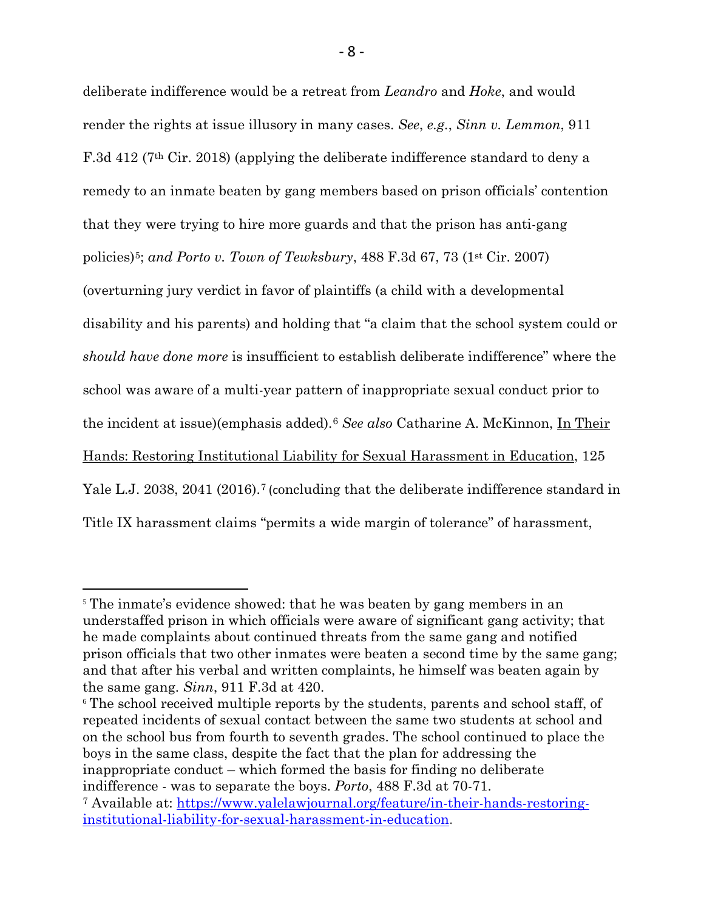deliberate indifference would be a retreat from *Leandro* and *Hoke*, and would render the rights at issue illusory in many cases. *See*, *e.g.*, *Sinn v. Lemmon*, 911 F.3d 412 (7th Cir. 2018) (applying the deliberate indifference standard to deny a remedy to an inmate beaten by gang members based on prison officials' contention that they were trying to hire more guards and that the prison has anti-gang policies)[5](#page-11-0); *and Porto v. Town of Tewksbury*, 488 F.3d 67, 73 (1st Cir. 2007) (overturning jury verdict in favor of plaintiffs (a child with a developmental disability and his parents) and holding that "a claim that the school system could or *should have done more* is insufficient to establish deliberate indifference" where the school was aware of a multi-year pattern of inappropriate sexual conduct prior to the incident at issue)(emphasis added).[6](#page-11-1) *See also* Catharine A. McKinnon, In Their Hands: Restoring Institutional Liability for Sexual Harassment in Education, 125 Yale L.J. 2038, 2041 (2016).<sup>[7](#page-11-2)</sup> (concluding that the deliberate indifference standard in Title IX harassment claims "permits a wide margin of tolerance" of harassment,

<span id="page-11-0"></span><sup>&</sup>lt;sup>5</sup> The inmate's evidence showed: that he was beaten by gang members in an understaffed prison in which officials were aware of significant gang activity; that he made complaints about continued threats from the same gang and notified prison officials that two other inmates were beaten a second time by the same gang; and that after his verbal and written complaints, he himself was beaten again by the same gang. *Sinn*, 911 F.3d at 420.

<span id="page-11-1"></span><sup>6</sup> The school received multiple reports by the students, parents and school staff, of repeated incidents of sexual contact between the same two students at school and on the school bus from fourth to seventh grades. The school continued to place the boys in the same class, despite the fact that the plan for addressing the inappropriate conduct – which formed the basis for finding no deliberate indifference - was to separate the boys. *Porto*, 488 F.3d at 70-71.

<span id="page-11-2"></span><sup>7</sup> Available at: [https://www.yalelawjournal.org/feature/in-their-hands-restoring](https://www.yalelawjournal.org/feature/in-their-hands-restoring-institutional-liability-for-sexual-harassment-in-education)[institutional-liability-for-sexual-harassment-in-education.](https://www.yalelawjournal.org/feature/in-their-hands-restoring-institutional-liability-for-sexual-harassment-in-education)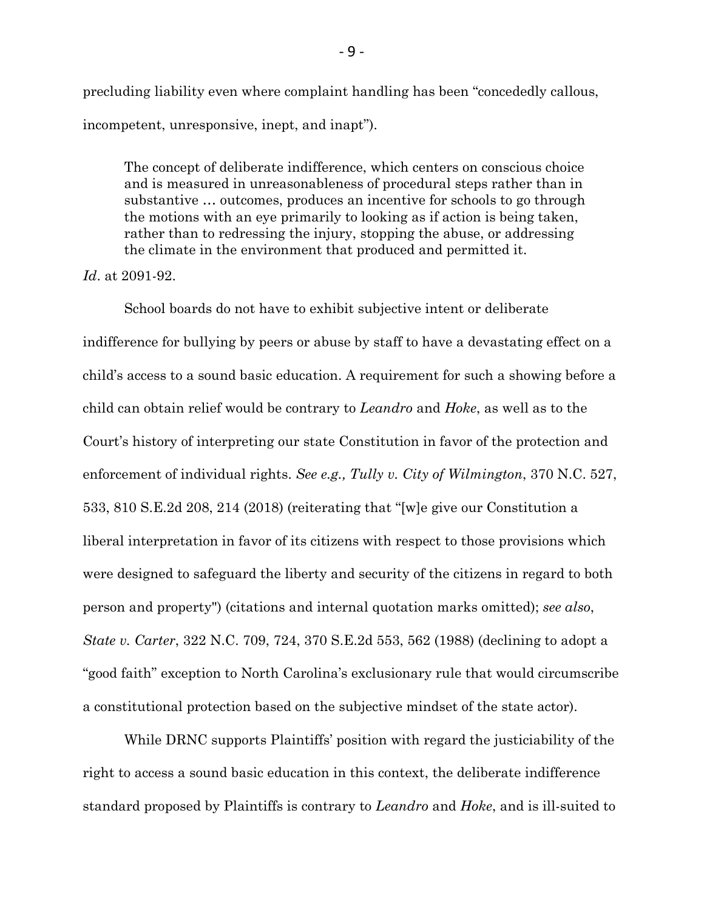precluding liability even where complaint handling has been "concededly callous, incompetent, unresponsive, inept, and inapt").

The concept of deliberate indifference, which centers on conscious choice and is measured in unreasonableness of procedural steps rather than in substantive … outcomes, produces an incentive for schools to go through the motions with an eye primarily to looking as if action is being taken, rather than to redressing the injury, stopping the abuse, or addressing the climate in the environment that produced and permitted it.

### *Id*. at 2091-92.

School boards do not have to exhibit subjective intent or deliberate indifference for bullying by peers or abuse by staff to have a devastating effect on a child's access to a sound basic education. A requirement for such a showing before a child can obtain relief would be contrary to *Leandro* and *Hoke*, as well as to the Court's history of interpreting our state Constitution in favor of the protection and enforcement of individual rights. *See e.g., Tully v. City of Wilmington*, 370 N.C. 527, 533, 810 S.E.2d 208, 214 (2018) (reiterating that "[w]e give our Constitution a liberal interpretation in favor of its citizens with respect to those provisions which were designed to safeguard the liberty and security of the citizens in regard to both person and property") (citations and internal quotation marks omitted); *see also*, *State v. Carter*, 322 N.C. 709, 724, 370 S.E.2d 553, 562 (1988) (declining to adopt a "good faith" exception to North Carolina's exclusionary rule that would circumscribe a constitutional protection based on the subjective mindset of the state actor).

While DRNC supports Plaintiffs' position with regard the justiciability of the right to access a sound basic education in this context, the deliberate indifference standard proposed by Plaintiffs is contrary to *Leandro* and *Hoke*, and is ill-suited to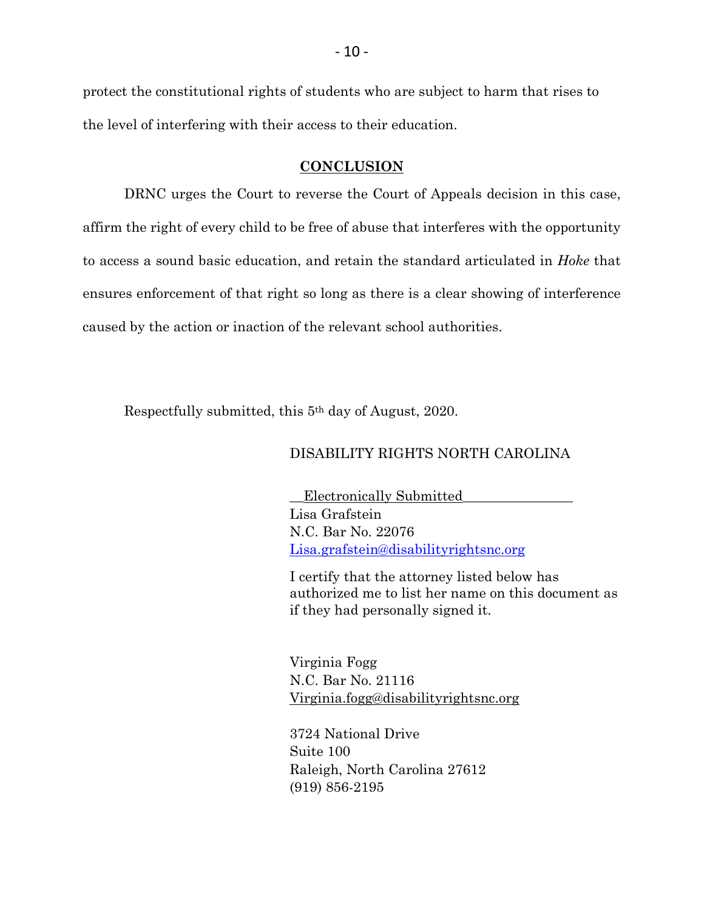protect the constitutional rights of students who are subject to harm that rises to the level of interfering with their access to their education.

### **CONCLUSION**

DRNC urges the Court to reverse the Court of Appeals decision in this case, affirm the right of every child to be free of abuse that interferes with the opportunity to access a sound basic education, and retain the standard articulated in *Hoke* that ensures enforcement of that right so long as there is a clear showing of interference caused by the action or inaction of the relevant school authorities.

Respectfully submitted, this 5th day of August, 2020.

#### DISABILITY RIGHTS NORTH CAROLINA

\_\_Electronically Submitted\_\_\_\_\_\_\_\_\_\_\_\_\_\_\_\_ Lisa Grafstein N.C. Bar No. 22076 [Lisa.grafstein@disabilityrightsnc.org](mailto:Lisa.grafstein@disabilityrightsnc.org)

I certify that the attorney listed below has authorized me to list her name on this document as if they had personally signed it.

Virginia Fogg N.C. Bar No. 21116 Virginia.fogg@disabilityrightsnc.org

3724 National Drive Suite 100 Raleigh, North Carolina 27612 (919) 856-2195